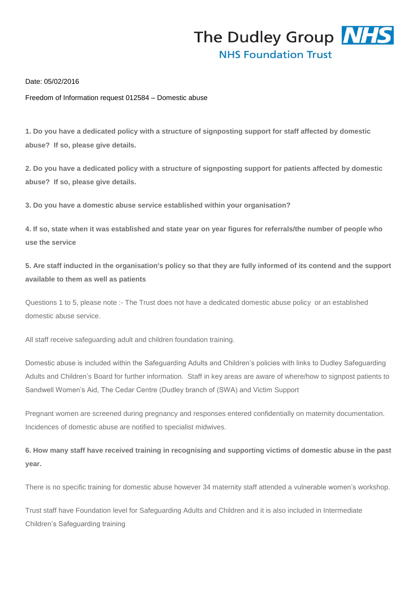

Date: 05/02/2016

Freedom of Information request 012584 – Domestic abuse

**1. Do you have a dedicated policy with a structure of signposting support for staff affected by domestic abuse? If so, please give details.**

**2. Do you have a dedicated policy with a structure of signposting support for patients affected by domestic abuse? If so, please give details.**

**3. Do you have a domestic abuse service established within your organisation?**

**4. If so, state when it was established and state year on year figures for referrals/the number of people who use the service**

**5. Are staff inducted in the organisation's policy so that they are fully informed of its contend and the support available to them as well as patients**

Questions 1 to 5, please note :- The Trust does not have a dedicated domestic abuse policy or an established domestic abuse service.

All staff receive safeguarding adult and children foundation training.

Domestic abuse is included within the Safeguarding Adults and Children's policies with links to Dudley Safeguarding Adults and Children's Board for further information. Staff in key areas are aware of where/how to signpost patients to Sandwell Women's Aid, The Cedar Centre (Dudley branch of (SWA) and Victim Support

Pregnant women are screened during pregnancy and responses entered confidentially on maternity documentation. Incidences of domestic abuse are notified to specialist midwives.

**6. How many staff have received training in recognising and supporting victims of domestic abuse in the past year.**

There is no specific training for domestic abuse however 34 maternity staff attended a vulnerable women's workshop.

Trust staff have Foundation level for Safeguarding Adults and Children and it is also included in Intermediate Children's Safeguarding training